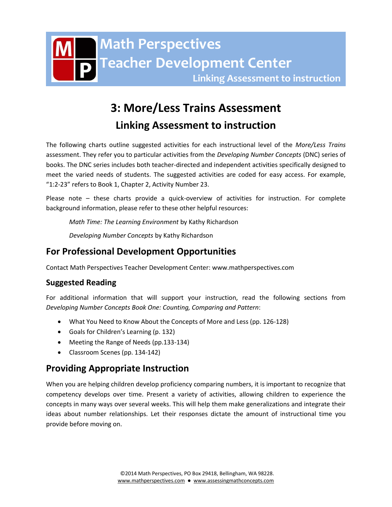

# **3: More/Less Trains Assessment**

**Linking Assessment to instruction**

The following charts outline suggested activities for each instructional level of the *More/Less Trains* assessment. They refer you to particular activities from the *Developing Number Concepts* (DNC) series of books. The DNC series includes both teacher-directed and independent activities specifically designed to meet the varied needs of students. The suggested activities are coded for easy access. For example, "1:2-23" refers to Book 1, Chapter 2, Activity Number 23.

Please note – these charts provide a quick-overview of activities for instruction. For complete background information, please refer to these other helpful resources:

*Math Time: The Learning Environment* by Kathy Richardson

*Developing Number Concepts* by Kathy Richardson

# **For Professional Development Opportunities**

Contact Math Perspectives Teacher Development Center: www.mathperspectives.com

# **Suggested Reading**

For additional information that will support your instruction, read the following sections from *Developing Number Concepts Book One: Counting, Comparing and Pattern*:

- What You Need to Know About the Concepts of More and Less (pp. 126-128)
- Goals for Children's Learning (p. 132)
- Meeting the Range of Needs (pp.133-134)
- Classroom Scenes (pp. 134-142)

# **Providing Appropriate Instruction**

When you are helping children develop proficiency comparing numbers, it is important to recognize that competency develops over time. Present a variety of activities, allowing children to experience the concepts in many ways over several weeks. This will help them make generalizations and integrate their ideas about number relationships. Let their responses dictate the amount of instructional time you provide before moving on.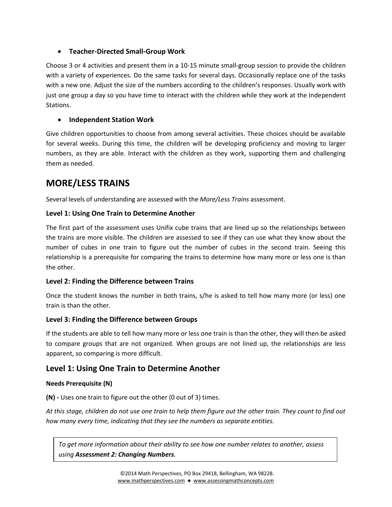## **Teacher-Directed Small-Group Work**

Choose 3 or 4 activities and present them in a 10-15 minute small-group session to provide the children with a variety of experiences. Do the same tasks for several days. Occasionally replace one of the tasks with a new one. Adjust the size of the numbers according to the children's responses. Usually work with just one group a day so you have time to interact with the children while they work at the Independent Stations.

### **Independent Station Work**

Give children opportunities to choose from among several activities. These choices should be available for several weeks. During this time, the children will be developing proficiency and moving to larger numbers, as they are able. Interact with the children as they work, supporting them and challenging them as needed.

# **MORE/LESS TRAINS**

Several levels of understanding are assessed with the *More/Less Trains* assessment.

## **Level 1: Using One Train to Determine Another**

The first part of the assessment uses Unifix cube trains that are lined up so the relationships between the trains are more visible. The children are assessed to see if they can use what they know about the number of cubes in one train to figure out the number of cubes in the second train. Seeing this relationship is a prerequisite for comparing the trains to determine how many more or less one is than the other.

#### **Level 2: Finding the Difference between Trains**

Once the student knows the number in both trains, s/he is asked to tell how many more (or less) one train is than the other.

#### **Level 3: Finding the Difference between Groups**

If the students are able to tell how many more or less one train is than the other, they will then be asked to compare groups that are not organized. When groups are not lined up, the relationships are less apparent, so comparing is more difficult.

# **Level 1: Using One Train to Determine Another**

#### **Needs Prerequisite (N)**

**(N) -** Uses one train to figure out the other (0 out of 3) times.

*At this stage, children do not use one train to help them figure out the other train. They count to find out how many every time, indicating that they see the numbers as separate entities.* 

*To get more information about their ability to see how one number relates to another, assess using Assessment 2: Changing Numbers.*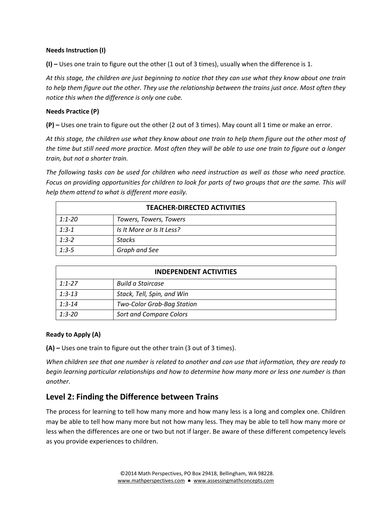#### **Needs Instruction (I)**

**(I) –** Uses one train to figure out the other (1 out of 3 times), usually when the difference is 1.

*At this stage, the children are just beginning to notice that they can use what they know about one train to help them figure out the other. They use the relationship between the trains just once. Most often they notice this when the difference is only one cube.*

#### **Needs Practice (P)**

**(P) –** Uses one train to figure out the other (2 out of 3 times). May count all 1 time or make an error.

*At this stage, the children use what they know about one train to help them figure out the other most of the time but still need more practice. Most often they will be able to use one train to figure out a longer train, but not a shorter train.*

*The following tasks can be used for children who need instruction as well as those who need practice. Focus on providing opportunities for children to look for parts of two groups that are the same. This will help them attend to what is different more easily.*

| <b>TEACHER-DIRECTED ACTIVITIES</b> |                           |  |
|------------------------------------|---------------------------|--|
| 1:1-20                             | Towers, Towers, Towers    |  |
| $1:3-1$                            | Is It More or Is It Less? |  |
| $1:3-2$                            | <b>Stacks</b>             |  |
| $1:3-5$                            | Graph and See             |  |

| <b>INDEPENDENT ACTIVITIES</b> |                            |  |
|-------------------------------|----------------------------|--|
| $1:1 - 27$                    | Build a Staircase          |  |
| $1:3-13$                      | Stack, Tell, Spin, and Win |  |
| $1:3 - 14$                    | Two-Color Grab-Bag Station |  |
| $1:3 - 20$                    | Sort and Compare Colors    |  |

#### **Ready to Apply (A)**

**(A) –** Uses one train to figure out the other train (3 out of 3 times).

*When children see that one number is related to another and can use that information, they are ready to begin learning particular relationships and how to determine how many more or less one number is than another.*

# **Level 2: Finding the Difference between Trains**

The process for learning to tell how many more and how many less is a long and complex one. Children may be able to tell how many more but not how many less. They may be able to tell how many more or less when the differences are one or two but not if larger. Be aware of these different competency levels as you provide experiences to children.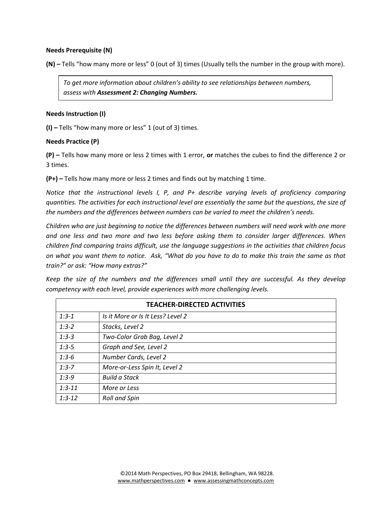#### **Needs Prerequisite (N)**

**(N) –** Tells "how many more or less" 0 (out of 3) times (Usually tells the number in the group with more).

*To get more information about children's ability to see relationships between numbers, assess with Assessment 2: Changing Numbers.*

#### **Needs Instruction (I)**

**(I) –** Tells "how many more or less" 1 (out of 3) times.

#### **Needs Practice (P)**

**(P) –** Tells how many more or less 2 times with 1 error, **or** matches the cubes to find the difference 2 or 3 times.

**(P+) –** Tells how many more or less 2 times and finds out by matching 1 time.

*Notice that the instructional levels I, P, and P+ describe varying levels of proficiency comparing quantities. The activities for each instructional level are essentially the same but the questions, the size of the numbers and the differences between numbers can be varied to meet the children's needs.*

*Children who are just beginning to notice the differences between numbers will need work with one more and one less and two more and two less before asking them to consider larger differences. When children find comparing trains difficult, use the language suggestions in the activities that children focus on what you want them to notice. Ask, "What do you have to do to make this train the same as that train?" or ask: "How many extras?"*

*Keep the size of the numbers and the differences small until they are successful. As they develop competency with each level, provide experiences with more challenging levels.* 

| <b>TEACHER-DIRECTED ACTIVITIES</b> |                                   |  |
|------------------------------------|-----------------------------------|--|
| $1:3-1$                            | Is it More or Is It Less? Level 2 |  |
| $1:3-2$                            | Stacks, Level 2                   |  |
| $1:3-3$                            | Two-Color Grab Bag, Level 2       |  |
| $1:3-5$                            | Graph and See, Level 2            |  |
| $1:3-6$                            | Number Cards, Level 2             |  |
| $1:3 - 7$                          | More-or-Less Spin It, Level 2     |  |
| $1:3-9$                            | <b>Build a Stack</b>              |  |
| $1:3 - 11$                         | More or Less                      |  |
| $1:3-12$                           | <b>Roll and Spin</b>              |  |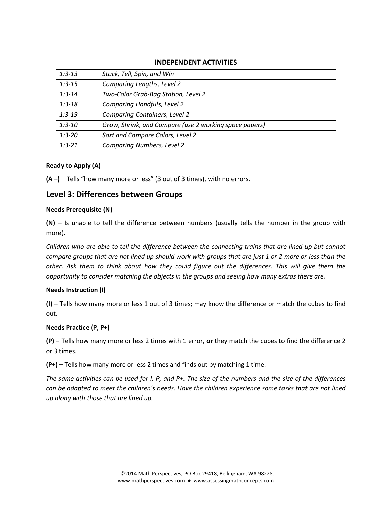| <b>INDEPENDENT ACTIVITIES</b> |                                                        |  |
|-------------------------------|--------------------------------------------------------|--|
| $1:3-13$                      | Stack, Tell, Spin, and Win                             |  |
| $1:3-15$                      | Comparing Lengths, Level 2                             |  |
| $1:3 - 14$                    | Two-Color Grab-Bag Station, Level 2                    |  |
| $1:3-18$                      | <b>Comparing Handfuls, Level 2</b>                     |  |
| $1:3-19$                      | <b>Comparing Containers, Level 2</b>                   |  |
| $1:3-10$                      | Grow, Shrink, and Compare (use 2 working space papers) |  |
| $1:3 - 20$                    | Sort and Compare Colors, Level 2                       |  |
| $1:3 - 21$                    | <b>Comparing Numbers, Level 2</b>                      |  |

#### **Ready to Apply (A)**

**(A –)** – Tells "how many more or less" (3 out of 3 times), with no errors.

## **Level 3: Differences between Groups**

#### **Needs Prerequisite (N)**

**(N) –** Is unable to tell the difference between numbers (usually tells the number in the group with more).

*Children who are able to tell the difference between the connecting trains that are lined up but cannot compare groups that are not lined up should work with groups that are just 1 or 2 more or less than the other. Ask them to think about how they could figure out the differences. This will give them the opportunity to consider matching the objects in the groups and seeing how many extras there are.* 

#### **Needs Instruction (I)**

**(I) –** Tells how many more or less 1 out of 3 times; may know the difference or match the cubes to find out.

#### **Needs Practice (P, P+)**

**(P) –** Tells how many more or less 2 times with 1 error, **or** they match the cubes to find the difference 2 or 3 times.

**(P+) –** Tells how many more or less 2 times and finds out by matching 1 time.

*The same activities can be used for I, P, and P+. The size of the numbers and the size of the differences can be adapted to meet the children's needs. Have the children experience some tasks that are not lined up along with those that are lined up.*